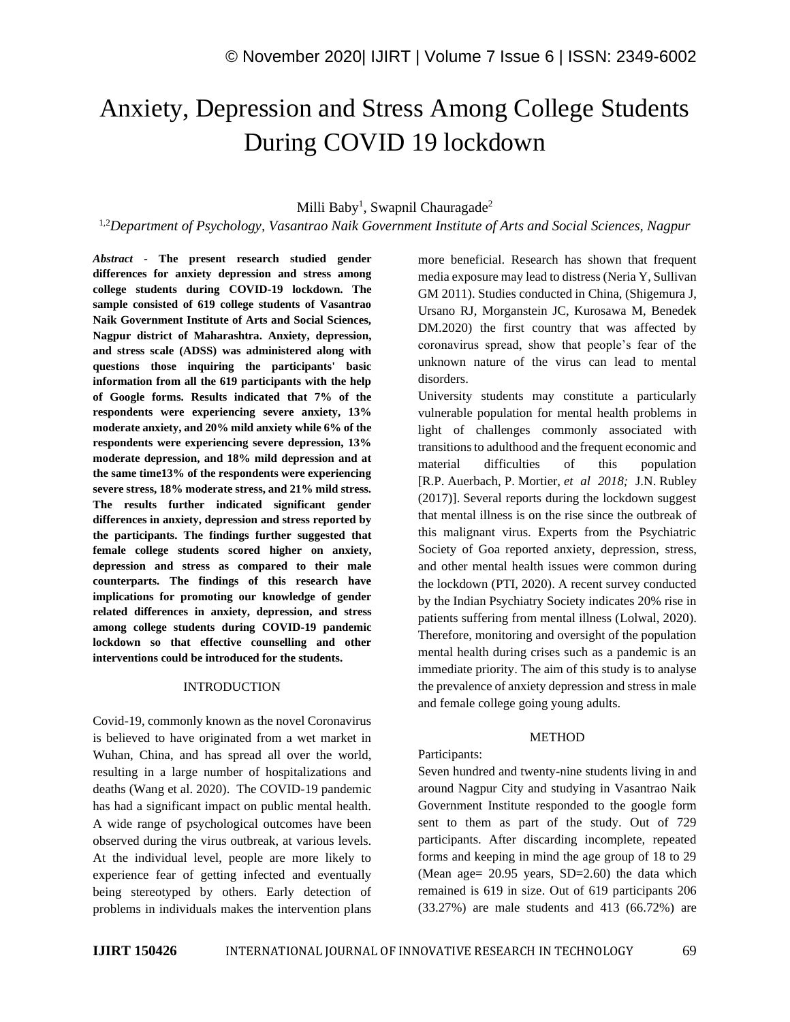# Anxiety, Depression and Stress Among College Students During COVID 19 lockdown

# Milli Baby<sup>1</sup>, Swapnil Chauragade<sup>2</sup>

1,2*Department of Psychology, Vasantrao Naik Government Institute of Arts and Social Sciences, Nagpur*

*Abstract -* **The present research studied gender differences for anxiety depression and stress among college students during COVID-19 lockdown. The sample consisted of 619 college students of Vasantrao Naik Government Institute of Arts and Social Sciences, Nagpur district of Maharashtra. Anxiety, depression, and stress scale (ADSS) was administered along with questions those inquiring the participants' basic information from all the 619 participants with the help of Google forms. Results indicated that 7% of the respondents were experiencing severe anxiety, 13% moderate anxiety, and 20% mild anxiety while 6% of the respondents were experiencing severe depression, 13% moderate depression, and 18% mild depression and at the same time13% of the respondents were experiencing severe stress, 18% moderate stress, and 21% mild stress. The results further indicated significant gender differences in anxiety, depression and stress reported by the participants. The findings further suggested that female college students scored higher on anxiety, depression and stress as compared to their male counterparts. The findings of this research have implications for promoting our knowledge of gender related differences in anxiety, depression, and stress among college students during COVID-19 pandemic lockdown so that effective counselling and other interventions could be introduced for the students.**

#### INTRODUCTION

Covid-19, commonly known as the novel Coronavirus is believed to have originated from a wet market in Wuhan, China, and has spread all over the world, resulting in a large number of hospitalizations and deaths (Wang et al. 2020). The COVID-19 pandemic has had a significant impact on public mental health. A wide range of psychological outcomes have been observed during the virus outbreak, at various levels. At the individual level, people are more likely to experience fear of getting infected and eventually being stereotyped by others. Early detection of problems in individuals makes the intervention plans more beneficial. Research has shown that frequent media exposure may lead to distress (Neria Y, Sullivan GM 2011). Studies conducted in China, (Shigemura J, Ursano RJ, Morganstein JC, Kurosawa M, Benedek DM.2020) the first country that was affected by coronavirus spread, show that people's fear of the unknown nature of the virus can lead to mental disorders.

University students may constitute a particularly vulnerable population for mental health problems in light of challenges commonly associated with transitions to adulthood and the frequent economic and material difficulties of this population [R.P. Auerbach, P. Mortier, *et al 2018;* J.N. Rubley (2017)]. Several reports during the lockdown suggest that mental illness is on the rise since the outbreak of this malignant virus. Experts from the Psychiatric Society of Goa reported anxiety, depression, stress, and other mental health issues were common during the lockdown (PTI, 2020). A recent survey conducted by the Indian Psychiatry Society indicates 20% rise in patients suffering from mental illness (Lolwal, 2020). Therefore, monitoring and oversight of the population mental health during crises such as a pandemic is an immediate priority. The aim of this study is to analyse the prevalence of anxiety depression and stress in male and female college going young adults.

### **METHOD**

#### Participants:

Seven hundred and twenty-nine students living in and around Nagpur City and studying in Vasantrao Naik Government Institute responded to the google form sent to them as part of the study. Out of 729 participants. After discarding incomplete, repeated forms and keeping in mind the age group of 18 to 29 (Mean age=  $20.95$  years, SD= $2.60$ ) the data which remained is 619 in size. Out of 619 participants 206 (33.27%) are male students and 413 (66.72%) are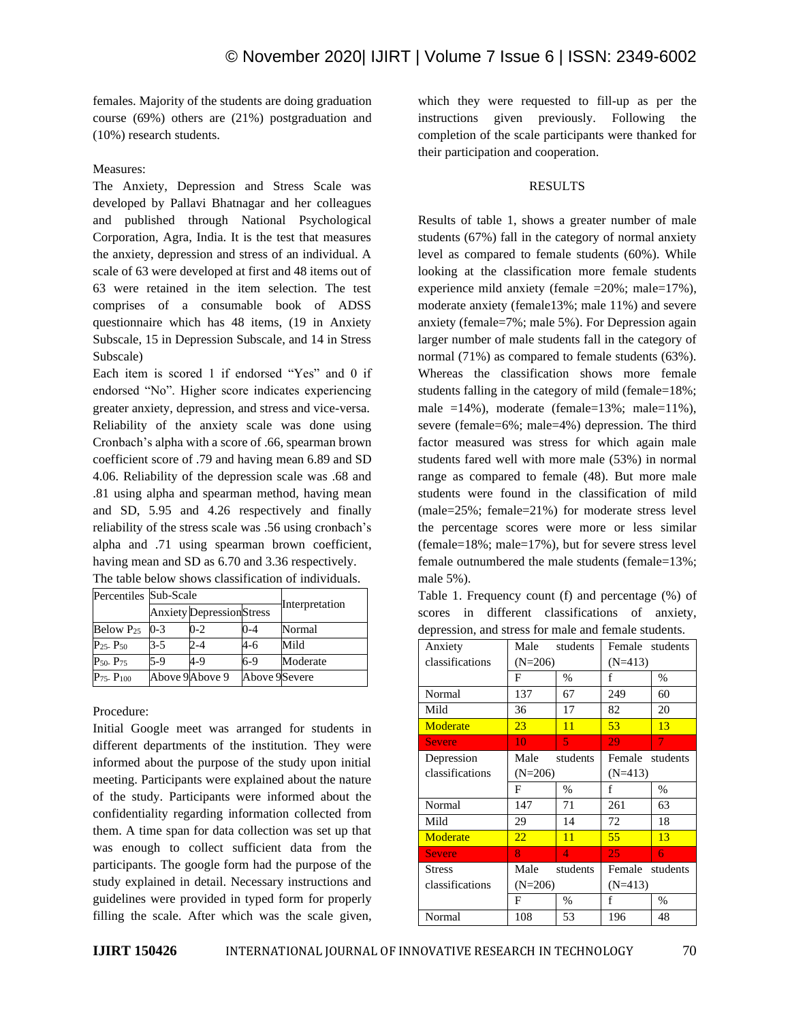females. Majority of the students are doing graduation course (69%) others are (21%) postgraduation and (10%) research students.

## Measures:

The Anxiety, Depression and Stress Scale was developed by Pallavi Bhatnagar and her colleagues and published through National Psychological Corporation, Agra, India. It is the test that measures the anxiety, depression and stress of an individual. A scale of 63 were developed at first and 48 items out of 63 were retained in the item selection. The test comprises of a consumable book of ADSS questionnaire which has 48 items, (19 in Anxiety Subscale, 15 in Depression Subscale, and 14 in Stress Subscale)

Each item is scored 1 if endorsed "Yes" and 0 if endorsed "No". Higher score indicates experiencing greater anxiety, depression, and stress and vice-versa. Reliability of the anxiety scale was done using Cronbach's alpha with a score of .66, spearman brown coefficient score of .79 and having mean 6.89 and SD 4.06. Reliability of the depression scale was .68 and .81 using alpha and spearman method, having mean and SD, 5.95 and 4.26 respectively and finally reliability of the stress scale was .56 using cronbach's alpha and .71 using spearman brown coefficient, having mean and SD as 6.70 and 3.36 respectively. The table below shows classification of individuals.

| Percentiles Sub-Scale |         |                                 |               |                |  |
|-----------------------|---------|---------------------------------|---------------|----------------|--|
|                       |         | <b>Anxiety</b> DepressionStress |               | Interpretation |  |
| Below P <sub>25</sub> | $0 - 3$ | $0 - 2$                         | $0 - 4$       | Normal         |  |
| $P_{25}$ - $P_{50}$   | $3-5$   | $2 - 4$                         | 4-6           | Mild           |  |
| $P_{50}$ - $P_{75}$   | $5-9$   | $4 - 9$                         | 6-9           | Moderate       |  |
| $P_{75}$ - $P_{100}$  |         | Above 9 Above 9                 | Above 9Severe |                |  |

Procedure:

Initial Google meet was arranged for students in different departments of the institution. They were informed about the purpose of the study upon initial meeting. Participants were explained about the nature of the study. Participants were informed about the confidentiality regarding information collected from them. A time span for data collection was set up that was enough to collect sufficient data from the participants. The google form had the purpose of the study explained in detail. Necessary instructions and guidelines were provided in typed form for properly filling the scale. After which was the scale given, which they were requested to fill-up as per the instructions given previously. Following the completion of the scale participants were thanked for their participation and cooperation.

# RESULTS

Results of table 1, shows a greater number of male students (67%) fall in the category of normal anxiety level as compared to female students (60%). While looking at the classification more female students experience mild anxiety (female =20%; male=17%), moderate anxiety (female13%; male 11%) and severe anxiety (female=7%; male 5%). For Depression again larger number of male students fall in the category of normal (71%) as compared to female students (63%). Whereas the classification shows more female students falling in the category of mild (female=18%; male  $=14\%$ ), moderate (female=13%; male=11%), severe (female=6%; male=4%) depression. The third factor measured was stress for which again male students fared well with more male (53%) in normal range as compared to female (48). But more male students were found in the classification of mild (male=25%; female=21%) for moderate stress level the percentage scores were more or less similar (female=18%; male=17%), but for severe stress level female outnumbered the male students (female=13%; male 5%).

Table 1. Frequency count (f) and percentage (%) of scores in different classifications of anxiety, depression, and stress for male and female students.

| Anxiety         | Male             | students      | Female students |      |
|-----------------|------------------|---------------|-----------------|------|
| classifications | $(N=206)$        |               | $(N=413)$       |      |
|                 | F                | $\frac{0}{0}$ | f               | $\%$ |
| Normal          | 137              | 67            | 249             | 60   |
| Mild            | 36               | 17            | 82              | 20   |
| Moderate        | 23               | 11            | 53              | 13   |
| <b>Severe</b>   | 10               | 5             | 29              | 7    |
| Depression      | students<br>Male |               | Female students |      |
| classifications | $(N=206)$        |               | $(N=413)$       |      |
|                 | F                | $\frac{0}{0}$ | f               | $\%$ |
| Normal          | 147              | 71            | 261             | 63   |
| Mild            | 29               | 14            | 72              | 18   |
| Moderate        | 22               | 11            | 55              | 13   |
| <b>Severe</b>   | 8                | 4             | 25              | 6    |
| <b>Stress</b>   | Male<br>students |               | Female students |      |
| classifications | $(N=206)$        |               | $(N=413)$       |      |
|                 | F                | $\frac{0}{0}$ | f               | $\%$ |
| Normal          | 108              | 53            | 196             | 48   |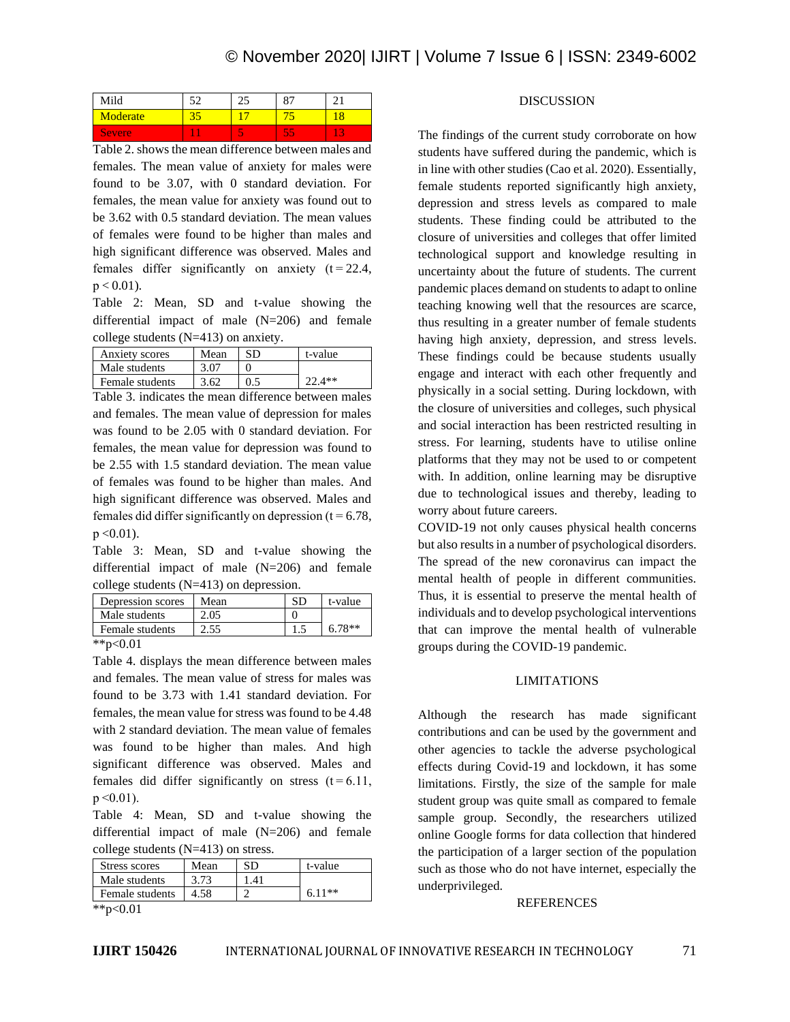| Mild     | -- |  |
|----------|----|--|
| Moderate |    |  |
| Severe   |    |  |

Table 2. shows the mean difference between males and females. The mean value of anxiety for males were found to be 3.07, with 0 standard deviation. For females, the mean value for anxiety was found out to be 3.62 with 0.5 standard deviation. The mean values of females were found to be higher than males and high significant difference was observed. Males and females differ significantly on anxiety  $(t=22.4,$  $p < 0.01$ ).

Table 2: Mean, SD and t-value showing the differential impact of male (N=206) and female college students (N=413) on anxiety.

| Anxiety scores  | Mean | SD | t-value  |
|-----------------|------|----|----------|
| Male students   | 3.07 |    |          |
| Female students | 3.62 |    | $72.4**$ |

Table 3. indicates the mean difference between males and females. The mean value of depression for males was found to be 2.05 with 0 standard deviation. For females, the mean value for depression was found to be 2.55 with 1.5 standard deviation. The mean value of females was found to be higher than males. And high significant difference was observed. Males and females did differ significantly on depression ( $t = 6.78$ ,  $p < 0.01$ ).

Table 3: Mean, SD and t-value showing the differential impact of male (N=206) and female college students (N=413) on depression.

| Depression scores | Mean | SD | t-value  |
|-------------------|------|----|----------|
| Male students     | 2.05 |    |          |
| Female students   | 2.55 |    | $6.78**$ |
| **p<0.01          |      |    |          |

Table 4. displays the mean difference between males and females. The mean value of stress for males was found to be 3.73 with 1.41 standard deviation. For females, the mean value for stress was found to be 4.48 with 2 standard deviation. The mean value of females was found to be higher than males. And high significant difference was observed. Males and females did differ significantly on stress  $(t=6.11)$ ,  $p \leq 0.01$ ).

Table 4: Mean, SD and t-value showing the differential impact of male (N=206) and female college students (N=413) on stress.

| Stress scores   | Mean | SD  | t-value  |
|-----------------|------|-----|----------|
| Male students   | 3.73 | -41 |          |
| Female students | 4.58 |     | $6.11**$ |
| ** $n < 0.01$   |      |     |          |

## DISCUSSION

The findings of the current study corroborate on how students have suffered during the pandemic, which is in line with other studies (Cao et al. 2020). Essentially, female students reported significantly high anxiety, depression and stress levels as compared to male students. These finding could be attributed to the closure of universities and colleges that offer limited technological support and knowledge resulting in uncertainty about the future of students. The current pandemic places demand on students to adapt to online teaching knowing well that the resources are scarce, thus resulting in a greater number of female students having high anxiety, depression, and stress levels. These findings could be because students usually engage and interact with each other frequently and physically in a social setting. During lockdown, with the closure of universities and colleges, such physical and social interaction has been restricted resulting in stress. For learning, students have to utilise online platforms that they may not be used to or competent with. In addition, online learning may be disruptive due to technological issues and thereby, leading to worry about future careers.

COVID-19 not only causes physical health concerns but also results in a number of psychological disorders. The spread of the new coronavirus can impact the mental health of people in different communities. Thus, it is essential to preserve the mental health of individuals and to develop psychological interventions that can improve the mental health of vulnerable groups during the COVID-19 pandemic.

#### LIMITATIONS

Although the research has made significant contributions and can be used by the government and other agencies to tackle the adverse psychological effects during Covid-19 and lockdown, it has some limitations. Firstly, the size of the sample for male student group was quite small as compared to female sample group. Secondly, the researchers utilized online Google forms for data collection that hindered the participation of a larger section of the population such as those who do not have internet, especially the underprivileged.

#### REFERENCES